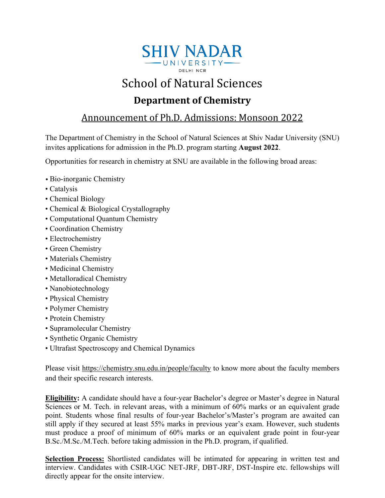

# School of Natural Sciences

# **Department of Chemistry**

## Announcement of Ph.D. Admissions: Monsoon 2022

The Department of Chemistry in the School of Natural Sciences at Shiv Nadar University (SNU) invites applications for admission in the Ph.D. program starting **August 2022**.

Opportunities for research in chemistry at SNU are available in the following broad areas:

- Bio-inorganic Chemistry
- Catalysis
- Chemical Biology
- Chemical & Biological Crystallography
- Computational Quantum Chemistry
- Coordination Chemistry
- Electrochemistry
- Green Chemistry
- Materials Chemistry
- Medicinal Chemistry
- Metalloradical Chemistry
- Nanobiotechnology
- Physical Chemistry
- Polymer Chemistry
- Protein Chemistry
- Supramolecular Chemistry
- Synthetic Organic Chemistry
- Ultrafast Spectroscopy and Chemical Dynamics

Please visit<https://chemistry.snu.edu.in/people/faculty> to know more about the faculty members and their specific research interests.

**Eligibility:** A candidate should have a four-year Bachelor's degree or Master's degree in Natural Sciences or M. Tech. in relevant areas, with a minimum of 60% marks or an equivalent grade point. Students whose final results of four-year Bachelor's/Master's program are awaited can still apply if they secured at least 55% marks in previous year's exam. However, such students must produce a proof of minimum of 60% marks or an equivalent grade point in four-year B.Sc./M.Sc./M.Tech. before taking admission in the Ph.D. program, if qualified.

**Selection Process:** Shortlisted candidates will be intimated for appearing in written test and interview. Candidates with CSIR-UGC NET-JRF, DBT-JRF, DST-Inspire etc. fellowships will directly appear for the onsite interview.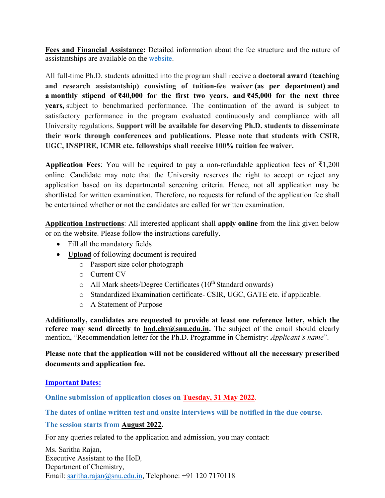**Fees and Financial Assistance:** Detailed information about the fee structure and the nature of assistantships are available on the [website.](https://snu.edu.in/sites/default/files/Fee-Structure-for-Doctoral-and-Integrated-Masters-Doctoral-program_0.pdf)

All full-time Ph.D. students admitted into the program shall receive a **doctoral award (teaching and research assistantship) consisting of tuition-fee waiver (as per department) and a monthly stipend of ₹40,000 for the first two years, and ₹45,000 for the next three years,** subject to benchmarked performance. The continuation of the award is subject to satisfactory performance in the program evaluated continuously and compliance with all University regulations. **Support will be available for deserving Ph.D. students to disseminate their work through conferences and publications. Please note that students with CSIR, UGC, INSPIRE, ICMR etc. fellowships shall receive 100% tuition fee waiver.**

**Application Fees**: You will be required to pay a non-refundable application fees of ₹1,200 online. Candidate may note that the University reserves the right to accept or reject any application based on its departmental screening criteria. Hence, not all application may be shortlisted for written examination. Therefore, no requests for refund of the application fee shall be entertained whether or not the candidates are called for written examination.

**Application Instructions**: All interested applicant shall **apply online** from the link given below or on the website. Please follow the instructions carefully.

- Fill all the mandatory fields
- **Upload** of following document is required
	- o Passport size color photograph
	- o Current CV
	- $\circ$  All Mark sheets/Degree Certificates (10<sup>th</sup> Standard onwards)
	- o Standardized Examination certificate- CSIR, UGC, GATE etc. if applicable.
	- o A Statement of Purpose

**Additionally, candidates are requested to provide at least one reference letter, which the referee may send directly to hod.chy@snu.edu.in.** The subject of the email should clearly mention, "Recommendation letter for the Ph.D. Programme in Chemistry: *Applicant's name*".

**Please note that the application will not be considered without all the necessary prescribed documents and application fee.**

#### **Important Dates:**

**Online submission of application closes on Tuesday, 31 May 2022**.

**The dates of online written test and onsite interviews will be notified in the due course.**

### **The session starts from August 2022.**

For any queries related to the application and admission, you may contact:

Ms. Saritha Rajan, Executive Assistant to the HoD*,*  Department of Chemistry, Email: [saritha.rajan@snu.edu.in,](mailto:saritha.rajan@snu.edu.in) Telephone: +91 120 7170118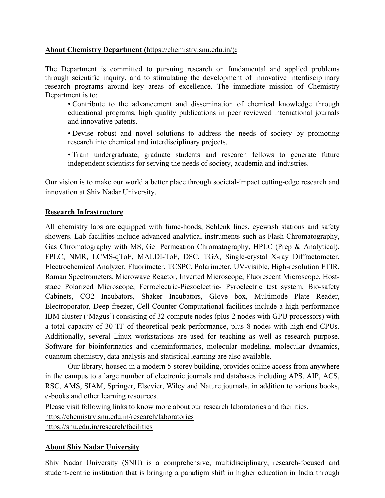#### **About Chemistry Department (**[https://chemistry.snu.edu.in/\)](https://chemistry.snu.edu.in/)**:**

The Department is committed to pursuing research on fundamental and applied problems through scientific inquiry, and to stimulating the development of innovative interdisciplinary research programs around key areas of excellence. The immediate mission of Chemistry Department is to:

• Contribute to the advancement and dissemination of chemical knowledge through educational programs, high quality publications in peer reviewed international journals and innovative patents.

• Devise robust and novel solutions to address the needs of society by promoting research into chemical and interdisciplinary projects.

• Train undergraduate, graduate students and research fellows to generate future independent scientists for serving the needs of society, academia and industries.

Our vision is to make our world a better place through societal-impact cutting-edge research and innovation at Shiv Nadar University.

#### **Research Infrastructure**

All chemistry labs are equipped with fume-hoods, Schlenk lines, eyewash stations and safety showers. Lab facilities include advanced analytical instruments such as Flash Chromatography, Gas Chromatography with MS, Gel Permeation Chromatography, HPLC (Prep & Analytical), FPLC, NMR, LCMS-qToF, MALDI-ToF, DSC, TGA, Single-crystal X-ray Diffractometer, Electrochemical Analyzer, Fluorimeter, TCSPC, Polarimeter, UV-visible, High-resolution FTIR, Raman Spectrometers, Microwave Reactor, Inverted Microscope, Fluorescent Microscope, Hoststage Polarized Microscope, Ferroelectric-Piezoelectric- Pyroelectric test system, Bio-safety Cabinets, CO2 Incubators, Shaker Incubators, Glove box, Multimode Plate Reader, Electroporator, Deep freezer, Cell Counter Computational facilities include a high performance IBM cluster ('Magus') consisting of 32 compute nodes (plus 2 nodes with GPU processors) with a total capacity of 30 TF of theoretical peak performance, plus 8 nodes with high-end CPUs. Additionally, several Linux workstations are used for teaching as well as research purpose. Software for bioinformatics and cheminformatics, molecular modeling, molecular dynamics, quantum chemistry, data analysis and statistical learning are also available.

Our library, housed in a modern 5-storey building, provides online access from anywhere in the campus to a large number of electronic journals and databases including APS, AIP, ACS, RSC, AMS, SIAM, Springer, Elsevier, Wiley and Nature journals, in addition to various books, e-books and other learning resources.

Please visit following links to know more about our research laboratories and facilities.

<https://chemistry.snu.edu.in/research/laboratories>

<https://snu.edu.in/research/facilities>

### **About Shiv Nadar University**

Shiv Nadar University (SNU) is a comprehensive, multidisciplinary, research-focused and student-centric institution that is bringing a paradigm shift in higher education in India through